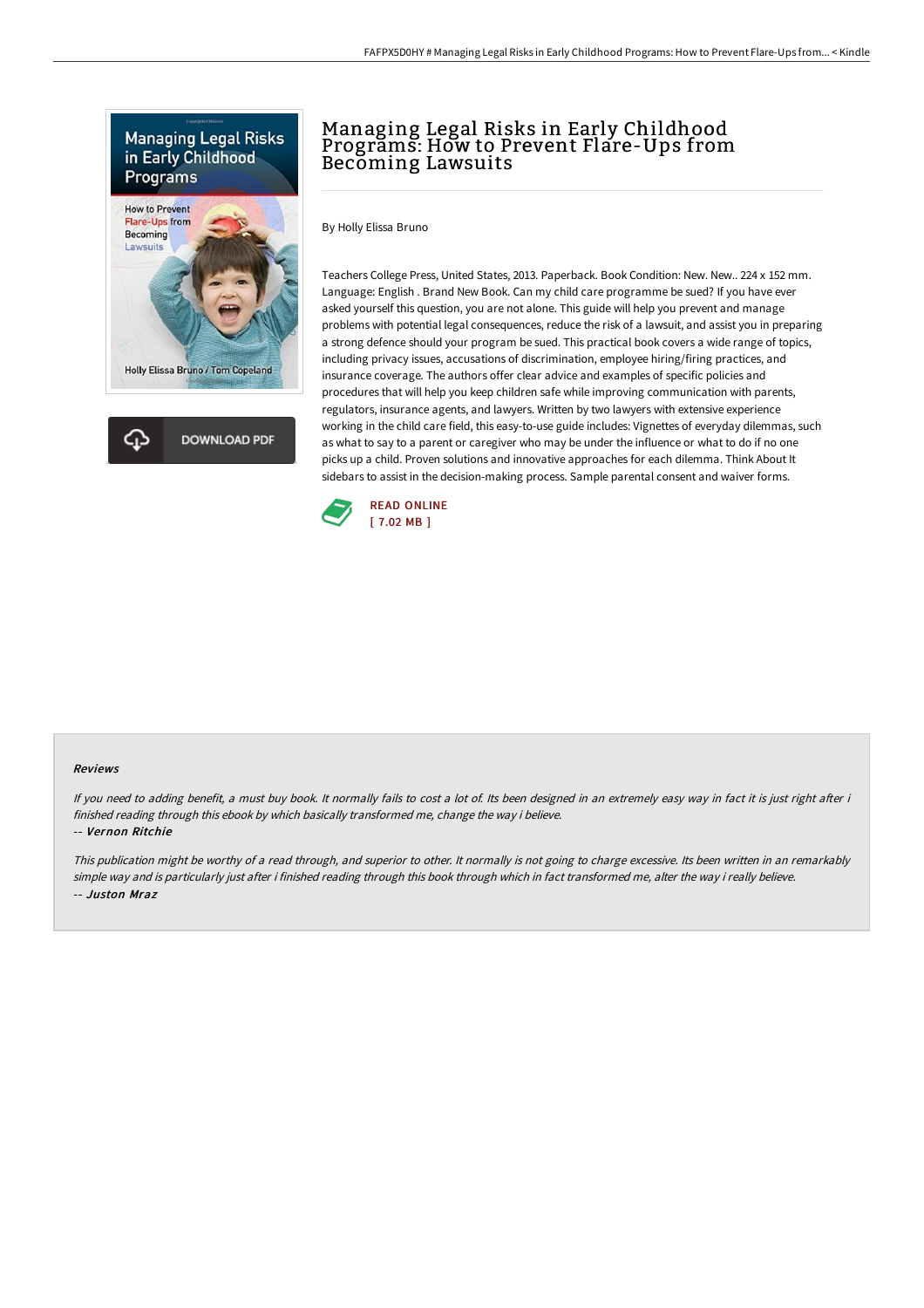

**Holly Elissa Bruno / Tom Copeland** 

ረጉ **DOWNLOAD PDF** 

## Managing Legal Risks in Early Childhood Programs: How to Prevent Flare-Ups from Becoming Lawsuits

By Holly Elissa Bruno

Teachers College Press, United States, 2013. Paperback. Book Condition: New. New.. 224 x 152 mm. Language: English . Brand New Book. Can my child care programme be sued? If you have ever asked yourself this question, you are not alone. This guide will help you prevent and manage problems with potential legal consequences, reduce the risk of a lawsuit, and assist you in preparing a strong defence should your program be sued. This practical book covers a wide range of topics, including privacy issues, accusations of discrimination, employee hiring/firing practices, and insurance coverage. The authors offer clear advice and examples of specific policies and procedures that will help you keep children safe while improving communication with parents, regulators, insurance agents, and lawyers. Written by two lawyers with extensive experience working in the child care field, this easy-to-use guide includes: Vignettes of everyday dilemmas, such as what to say to a parent or caregiver who may be under the influence or what to do if no one picks up a child. Proven solutions and innovative approaches for each dilemma. Think About It sidebars to assist in the decision-making process. Sample parental consent and waiver forms.



## Reviews

If you need to adding benefit, a must buy book. It normally fails to cost a lot of. Its been designed in an extremely easy way in fact it is just right after i finished reading through this ebook by which basically transformed me, change the way i believe.

-- Vernon Ritchie

This publication might be worthy of <sup>a</sup> read through, and superior to other. It normally is not going to charge excessive. Its been written in an remarkably simple way and is particularly just after i finished reading through this book through which in fact transformed me, alter the way i really believe. -- Juston Mraz